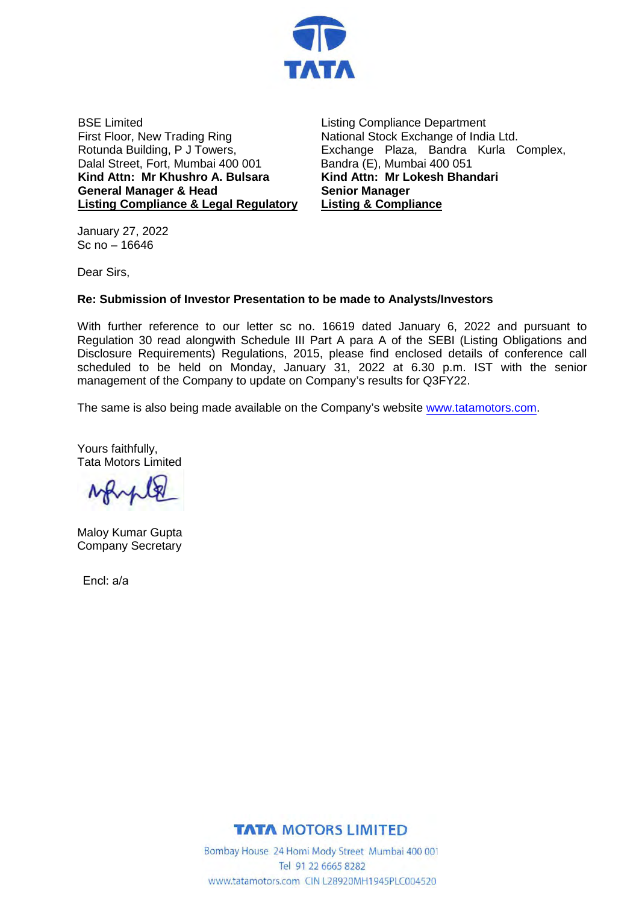

BSE Limited First Floor, New Trading Ring Rotunda Building, P J Towers, Dalal Street, Fort, Mumbai 400 001 **Kind Attn: Mr Khushro A. Bulsara General Manager & Head Listing Compliance & Legal Regulatory**

Listing Compliance Department National Stock Exchange of India Ltd. Exchange Plaza, Bandra Kurla Complex, Bandra (E), Mumbai 400 051 **Kind Attn: Mr Lokesh Bhandari Senior Manager Listing & Compliance**

January 27, 2022 Sc no – 16646

Dear Sirs,

## **Re: Submission of Investor Presentation to be made to Analysts/Investors**

With further reference to our letter sc no. 16619 dated January 6, 2022 and pursuant to Regulation 30 read alongwith Schedule III Part A para A of the SEBI (Listing Obligations and Disclosure Requirements) Regulations, 2015, please find enclosed details of conference call scheduled to be held on Monday, January 31, 2022 at 6.30 p.m. IST with the senior management of the Company to update on Company's results for Q3FY22.

The same is also being made available on the Company's websit[e www.tatamotors.com.](http://www.tatamotors.com/)

Yours faithfully, Tata Motors Limited

Maloy Kumar Gupta Company Secretary

Encl: a/a



Bombay House 24 Homi Mody Street Mumbai 400 001 Tel 91 22 6665 8282 www.tatamotors.com CIN L28920MH1945PLC004520